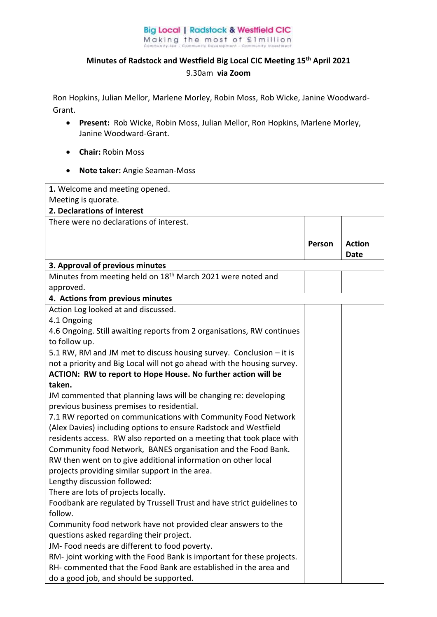## **Big Local | Radstock & Westfield CIC** Making the most of £1million

## **Minutes of Radstock and Westfield Big Local CIC Meeting 15th April 2021**  9.30am **via Zoom**

Ron Hopkins, Julian Mellor, Marlene Morley, Robin Moss, Rob Wicke, Janine Woodward-Grant.

- **Present:** Rob Wicke, Robin Moss, Julian Mellor, Ron Hopkins, Marlene Morley, Janine Woodward-Grant.
- **Chair:** Robin Moss
- **Note taker:** Angie Seaman-Moss

| 1. Welcome and meeting opened.                                                                                                           |        |               |
|------------------------------------------------------------------------------------------------------------------------------------------|--------|---------------|
| Meeting is quorate.                                                                                                                      |        |               |
| 2. Declarations of interest                                                                                                              |        |               |
| There were no declarations of interest.                                                                                                  |        |               |
|                                                                                                                                          |        |               |
|                                                                                                                                          | Person | <b>Action</b> |
|                                                                                                                                          |        | <b>Date</b>   |
| 3. Approval of previous minutes                                                                                                          |        |               |
| Minutes from meeting held on 18 <sup>th</sup> March 2021 were noted and                                                                  |        |               |
| approved.                                                                                                                                |        |               |
| 4. Actions from previous minutes                                                                                                         |        |               |
| Action Log looked at and discussed.                                                                                                      |        |               |
| 4.1 Ongoing                                                                                                                              |        |               |
| 4.6 Ongoing. Still awaiting reports from 2 organisations, RW continues                                                                   |        |               |
| to follow up.                                                                                                                            |        |               |
| 5.1 RW, RM and JM met to discuss housing survey. Conclusion - it is                                                                      |        |               |
| not a priority and Big Local will not go ahead with the housing survey.<br>ACTION: RW to report to Hope House. No further action will be |        |               |
| taken.                                                                                                                                   |        |               |
| JM commented that planning laws will be changing re: developing                                                                          |        |               |
| previous business premises to residential.                                                                                               |        |               |
| 7.1 RW reported on communications with Community Food Network                                                                            |        |               |
| (Alex Davies) including options to ensure Radstock and Westfield                                                                         |        |               |
| residents access. RW also reported on a meeting that took place with                                                                     |        |               |
| Community food Network, BANES organisation and the Food Bank.                                                                            |        |               |
| RW then went on to give additional information on other local                                                                            |        |               |
| projects providing similar support in the area.                                                                                          |        |               |
| Lengthy discussion followed:                                                                                                             |        |               |
| There are lots of projects locally.                                                                                                      |        |               |
| Foodbank are regulated by Trussell Trust and have strict guidelines to                                                                   |        |               |
| follow.                                                                                                                                  |        |               |
| Community food network have not provided clear answers to the                                                                            |        |               |
| questions asked regarding their project.                                                                                                 |        |               |
| JM- Food needs are different to food poverty.                                                                                            |        |               |
| RM-joint working with the Food Bank is important for these projects.                                                                     |        |               |
| RH- commented that the Food Bank are established in the area and                                                                         |        |               |
| do a good job, and should be supported.                                                                                                  |        |               |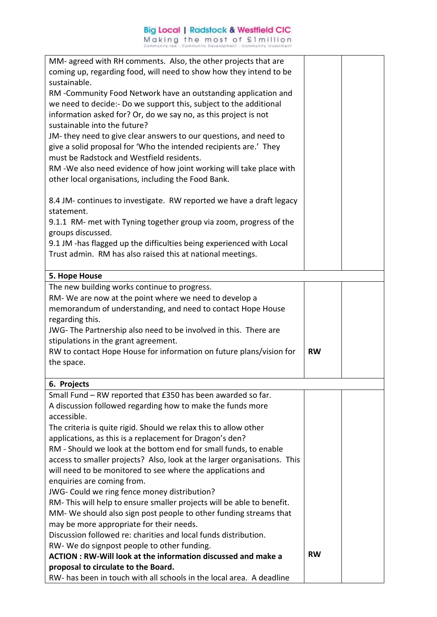| MM- agreed with RH comments. Also, the other projects that are                                              |           |  |
|-------------------------------------------------------------------------------------------------------------|-----------|--|
|                                                                                                             |           |  |
| coming up, regarding food, will need to show how they intend to be                                          |           |  |
| sustainable.                                                                                                |           |  |
| RM -Community Food Network have an outstanding application and                                              |           |  |
| we need to decide:- Do we support this, subject to the additional                                           |           |  |
| information asked for? Or, do we say no, as this project is not                                             |           |  |
| sustainable into the future?                                                                                |           |  |
| JM-they need to give clear answers to our questions, and need to                                            |           |  |
| give a solid proposal for 'Who the intended recipients are.' They                                           |           |  |
| must be Radstock and Westfield residents.                                                                   |           |  |
| RM-We also need evidence of how joint working will take place with                                          |           |  |
| other local organisations, including the Food Bank.                                                         |           |  |
|                                                                                                             |           |  |
|                                                                                                             |           |  |
| 8.4 JM- continues to investigate. RW reported we have a draft legacy                                        |           |  |
| statement.                                                                                                  |           |  |
| 9.1.1 RM- met with Tyning together group via zoom, progress of the                                          |           |  |
| groups discussed.                                                                                           |           |  |
| 9.1 JM -has flagged up the difficulties being experienced with Local                                        |           |  |
| Trust admin. RM has also raised this at national meetings.                                                  |           |  |
|                                                                                                             |           |  |
| 5. Hope House                                                                                               |           |  |
| The new building works continue to progress.                                                                |           |  |
| RM- We are now at the point where we need to develop a                                                      |           |  |
| memorandum of understanding, and need to contact Hope House                                                 |           |  |
| regarding this.                                                                                             |           |  |
|                                                                                                             |           |  |
|                                                                                                             |           |  |
| JWG- The Partnership also need to be involved in this. There are                                            |           |  |
| stipulations in the grant agreement.                                                                        |           |  |
| RW to contact Hope House for information on future plans/vision for                                         | <b>RW</b> |  |
| the space.                                                                                                  |           |  |
|                                                                                                             |           |  |
| 6. Projects                                                                                                 |           |  |
| Small Fund – RW reported that £350 has been awarded so far.                                                 |           |  |
| A discussion followed regarding how to make the funds more                                                  |           |  |
| accessible.                                                                                                 |           |  |
| The criteria is quite rigid. Should we relax this to allow other                                            |           |  |
| applications, as this is a replacement for Dragon's den?                                                    |           |  |
| RM - Should we look at the bottom end for small funds, to enable                                            |           |  |
| access to smaller projects? Also, look at the larger organisations. This                                    |           |  |
| will need to be monitored to see where the applications and                                                 |           |  |
| enquiries are coming from.                                                                                  |           |  |
|                                                                                                             |           |  |
| JWG- Could we ring fence money distribution?                                                                |           |  |
| RM-This will help to ensure smaller projects will be able to benefit.                                       |           |  |
| MM- We should also sign post people to other funding streams that                                           |           |  |
| may be more appropriate for their needs.                                                                    |           |  |
| Discussion followed re: charities and local funds distribution.                                             |           |  |
| RW- We do signpost people to other funding.                                                                 |           |  |
| <b>ACTION: RW-Will look at the information discussed and make a</b>                                         | <b>RW</b> |  |
| proposal to circulate to the Board.<br>RW- has been in touch with all schools in the local area. A deadline |           |  |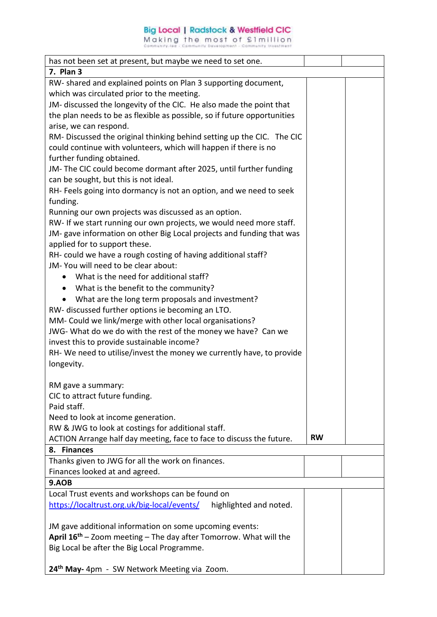## **Big Local | Radstock & Westfield CIC**

Making the most of £1million

| has not been set at present, but maybe we need to set one.                    |           |  |
|-------------------------------------------------------------------------------|-----------|--|
| 7. Plan 3                                                                     |           |  |
| RW- shared and explained points on Plan 3 supporting document,                |           |  |
| which was circulated prior to the meeting.                                    |           |  |
| JM- discussed the longevity of the CIC. He also made the point that           |           |  |
| the plan needs to be as flexible as possible, so if future opportunities      |           |  |
| arise, we can respond.                                                        |           |  |
| RM-Discussed the original thinking behind setting up the CIC. The CIC         |           |  |
| could continue with volunteers, which will happen if there is no              |           |  |
| further funding obtained.                                                     |           |  |
| JM-The CIC could become dormant after 2025, until further funding             |           |  |
| can be sought, but this is not ideal.                                         |           |  |
| RH- Feels going into dormancy is not an option, and we need to seek           |           |  |
| funding.                                                                      |           |  |
| Running our own projects was discussed as an option.                          |           |  |
| RW- If we start running our own projects, we would need more staff.           |           |  |
| JM- gave information on other Big Local projects and funding that was         |           |  |
| applied for to support these.                                                 |           |  |
| RH- could we have a rough costing of having additional staff?                 |           |  |
| JM-You will need to be clear about:                                           |           |  |
| What is the need for additional staff?                                        |           |  |
|                                                                               |           |  |
| What is the benefit to the community?                                         |           |  |
| What are the long term proposals and investment?                              |           |  |
| RW- discussed further options ie becoming an LTO.                             |           |  |
| MM- Could we link/merge with other local organisations?                       |           |  |
| JWG-What do we do with the rest of the money we have? Can we                  |           |  |
| invest this to provide sustainable income?                                    |           |  |
| RH- We need to utilise/invest the money we currently have, to provide         |           |  |
| longevity.                                                                    |           |  |
|                                                                               |           |  |
| RM gave a summary:                                                            |           |  |
| CIC to attract future funding.                                                |           |  |
| Paid staff.                                                                   |           |  |
| Need to look at income generation.                                            |           |  |
| RW & JWG to look at costings for additional staff.                            |           |  |
| ACTION Arrange half day meeting, face to face to discuss the future.          | <b>RW</b> |  |
| 8. Finances                                                                   |           |  |
| Thanks given to JWG for all the work on finances.                             |           |  |
| Finances looked at and agreed.                                                |           |  |
| 9.AOB                                                                         |           |  |
| Local Trust events and workshops can be found on                              |           |  |
| https://localtrust.org.uk/big-local/events/<br>highlighted and noted.         |           |  |
|                                                                               |           |  |
| JM gave additional information on some upcoming events:                       |           |  |
| April 16 <sup>th</sup> - Zoom meeting - The day after Tomorrow. What will the |           |  |
| Big Local be after the Big Local Programme.                                   |           |  |
|                                                                               |           |  |
| 24 <sup>th</sup> May- 4pm - SW Network Meeting via Zoom.                      |           |  |